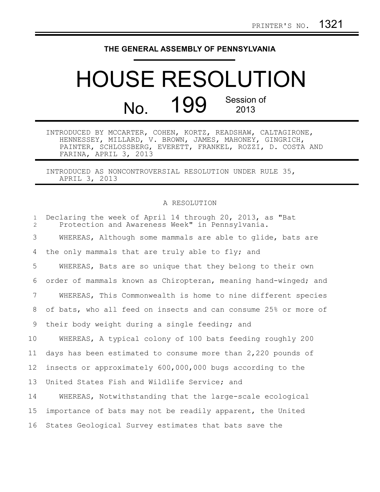## **THE GENERAL ASSEMBLY OF PENNSYLVANIA**

## HOUSE RESOLUTION No. 199 Session of 2013

INTRODUCED BY MCCARTER, COHEN, KORTZ, READSHAW, CALTAGIRONE, HENNESSEY, MILLARD, V. BROWN, JAMES, MAHONEY, GINGRICH, PAINTER, SCHLOSSBERG, EVERETT, FRANKEL, ROZZI, D. COSTA AND FARINA, APRIL 3, 2013

INTRODUCED AS NONCONTROVERSIAL RESOLUTION UNDER RULE 35, APRIL 3, 2013

## A RESOLUTION

| $\mathbf{1}$<br>$\overline{2}$ | Declaring the week of April 14 through 20, 2013, as "Bat<br>Protection and Awareness Week" in Pennsylvania. |
|--------------------------------|-------------------------------------------------------------------------------------------------------------|
| 3                              | WHEREAS, Although some mammals are able to glide, bats are                                                  |
| 4                              | the only mammals that are truly able to fly; and                                                            |
| 5                              | WHEREAS, Bats are so unique that they belong to their own                                                   |
| 6                              | order of mammals known as Chiropteran, meaning hand-winged; and                                             |
| 7                              | WHEREAS, This Commonwealth is home to nine different species                                                |
| 8                              | of bats, who all feed on insects and can consume 25% or more of                                             |
| 9                              | their body weight during a single feeding; and                                                              |
| 10 <sub>o</sub>                | WHEREAS, A typical colony of 100 bats feeding roughly 200                                                   |
| 11                             | days has been estimated to consume more than 2,220 pounds of                                                |
| 12 <sup>°</sup>                | insects or approximately 600,000,000 bugs according to the                                                  |
| 13                             | United States Fish and Wildlife Service; and                                                                |
| 14                             | WHEREAS, Notwithstanding that the large-scale ecological                                                    |
| 15                             | importance of bats may not be readily apparent, the United                                                  |
| 16                             | States Geological Survey estimates that bats save the                                                       |